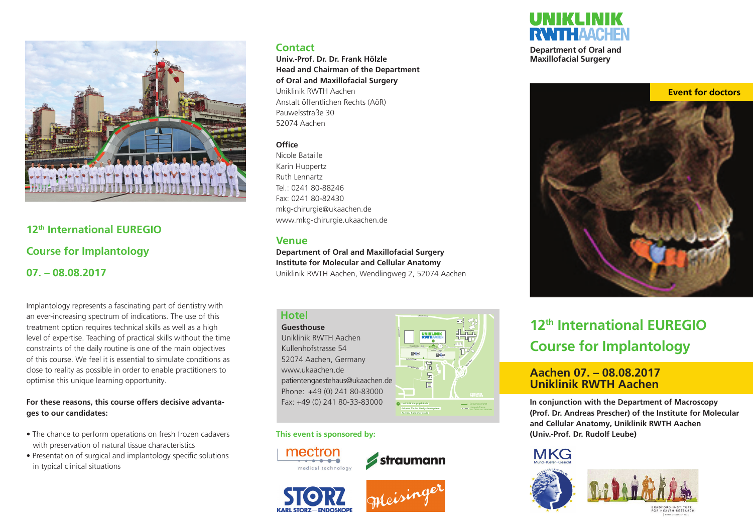

## **12th International EUREGIO Course for Implantology 07. – 08.08.2017**

Implantology represents a fascinating part of dentistry with an ever-increasing spectrum of indications. The use of this treatment option requires technical skills as well as a high level of expertise. Teaching of practical skills without the time constraints of the daily routine is one of the main objectives of this course. We feel it is essential to simulate conditions as close to reality as possible in order to enable practitioners to optimise this unique learning opportunity.

#### **For these reasons, this course offers decisive advantages to our candidates:**

- The chance to perform operations on fresh frozen cadavers with preservation of natural tissue characteristics
- Presentation of surgical and implantology specific solutions in typical clinical situations

## **Contact**

**Univ.-Prof. Dr. Dr. Frank Hölzle Head and Chairman of the Department of Oral and Maxillofacial Surgery** Uniklinik RWTH Aachen Anstalt öffentlichen Rechts (AöR) Pauwelsstraße 30 52074 Aachen

### **Office**

Nicole Bataille Karin Huppertz Ruth Lennartz Tel.: 0241 80-88246 Fax: 0241 80-82430 mkg-chirurgie@ukaachen.de www.mkg-chirurgie.ukaachen.de

## **Venue**

**Department of Oral and Maxillofacial Surgery Institute for Molecular and Cellular Anatomy** Uniklinik RWTH Aachen, Wendlingweg 2, 52074 Aachen

# **Hotel**

**Guesthouse** Uniklinik RWTH Aachen Kullenhofstrasse 54 52074 Aachen, Germany www.ukaachen.de patientengaestehaus@ukaachen.de Phone: +49 (0) 241 80-83000 Fax: +49 (0) 241 80-33-83000



**This event is sponsored by:**









**Department of Oral and Maxillofacial Surgery**



# **12th International EUREGIO Course for Implantology**

## **Aachen 07. – 08.08.2017 Uniklinik RWTH Aachen**

**In conjunction with the Department of Macroscopy (Prof. Dr. Andreas Prescher) of the Institute for Molecular and Cellular Anatomy, Uniklinik RWTH Aachen (Univ.-Prof. Dr. Rudolf Leube)**

# **MKG**